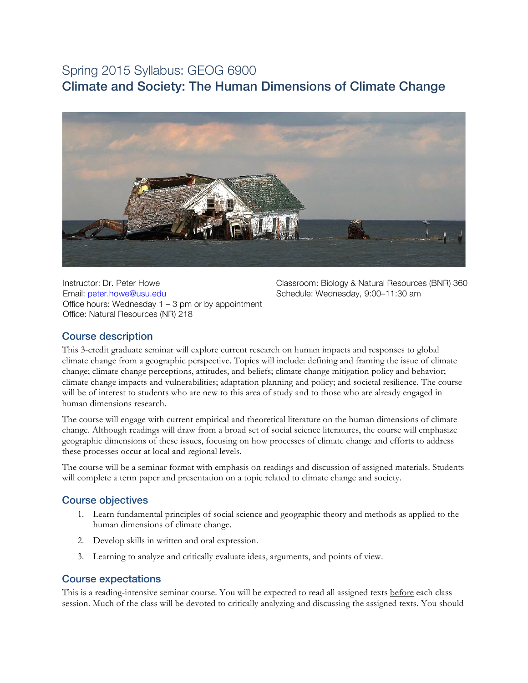# Spring 2015 Syllabus: GEOG 6900 Climate and Society: The Human Dimensions of Climate Change



Instructor: Dr. Peter Howe Email: peter.howe@usu.edu Office hours: Wednesday  $1 - 3$  pm or by appointment Office: Natural Resources (NR) 218

Classroom: Biology & Natural Resources (BNR) 360 Schedule: Wednesday, 9:00–11:30 am

# Course description

This 3-credit graduate seminar will explore current research on human impacts and responses to global climate change from a geographic perspective. Topics will include: defining and framing the issue of climate change; climate change perceptions, attitudes, and beliefs; climate change mitigation policy and behavior; climate change impacts and vulnerabilities; adaptation planning and policy; and societal resilience. The course will be of interest to students who are new to this area of study and to those who are already engaged in human dimensions research.

The course will engage with current empirical and theoretical literature on the human dimensions of climate change. Although readings will draw from a broad set of social science literatures, the course will emphasize geographic dimensions of these issues, focusing on how processes of climate change and efforts to address these processes occur at local and regional levels.

The course will be a seminar format with emphasis on readings and discussion of assigned materials. Students will complete a term paper and presentation on a topic related to climate change and society.

# Course objectives

- 1. Learn fundamental principles of social science and geographic theory and methods as applied to the human dimensions of climate change.
- 2. Develop skills in written and oral expression.
- 3. Learning to analyze and critically evaluate ideas, arguments, and points of view.

# Course expectations

This is a reading-intensive seminar course. You will be expected to read all assigned texts before each class session. Much of the class will be devoted to critically analyzing and discussing the assigned texts. You should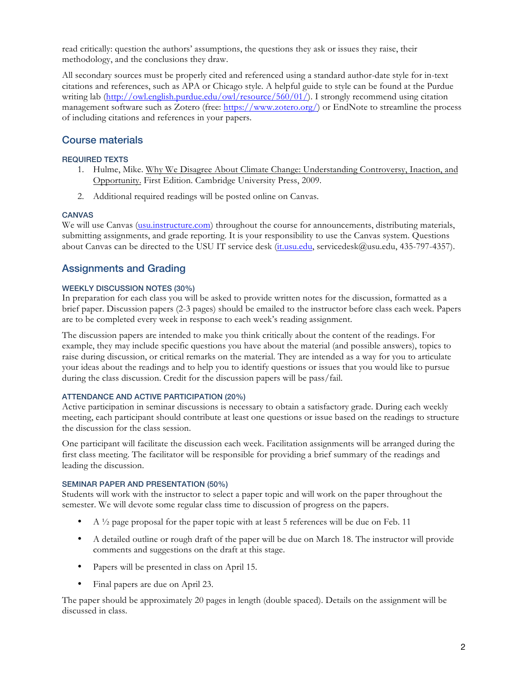read critically: question the authors' assumptions, the questions they ask or issues they raise, their methodology, and the conclusions they draw.

All secondary sources must be properly cited and referenced using a standard author-date style for in-text citations and references, such as APA or Chicago style. A helpful guide to style can be found at the Purdue writing lab (http://owl.english.purdue.edu/owl/resource/560/01/). I strongly recommend using citation management software such as Zotero (free: https://www.zotero.org/) or EndNote to streamline the process of including citations and references in your papers.

# Course materials

## REQUIRED TEXTS

- 1. Hulme, Mike. Why We Disagree About Climate Change: Understanding Controversy, Inaction, and Opportunity. First Edition. Cambridge University Press, 2009.
- 2. Additional required readings will be posted online on Canvas.

### **CANVAS**

We will use Canvas (usu.instructure.com) throughout the course for announcements, distributing materials, submitting assignments, and grade reporting. It is your responsibility to use the Canvas system. Questions about Canvas can be directed to the USU IT service desk (it.usu.edu, servicedesk@usu.edu, 435-797-4357).

# Assignments and Grading

### WEEKLY DISCUSSION NOTES (30%)

In preparation for each class you will be asked to provide written notes for the discussion, formatted as a brief paper. Discussion papers (2-3 pages) should be emailed to the instructor before class each week. Papers are to be completed every week in response to each week's reading assignment.

The discussion papers are intended to make you think critically about the content of the readings. For example, they may include specific questions you have about the material (and possible answers), topics to raise during discussion, or critical remarks on the material. They are intended as a way for you to articulate your ideas about the readings and to help you to identify questions or issues that you would like to pursue during the class discussion. Credit for the discussion papers will be pass/fail.

### ATTENDANCE AND ACTIVE PARTICIPATION (20%)

Active participation in seminar discussions is necessary to obtain a satisfactory grade. During each weekly meeting, each participant should contribute at least one questions or issue based on the readings to structure the discussion for the class session.

One participant will facilitate the discussion each week. Facilitation assignments will be arranged during the first class meeting. The facilitator will be responsible for providing a brief summary of the readings and leading the discussion.

### SEMINAR PAPER AND PRESENTATION (50%)

Students will work with the instructor to select a paper topic and will work on the paper throughout the semester. We will devote some regular class time to discussion of progress on the papers.

- A  $\frac{1}{2}$  page proposal for the paper topic with at least 5 references will be due on Feb. 11
- A detailed outline or rough draft of the paper will be due on March 18. The instructor will provide comments and suggestions on the draft at this stage.
- Papers will be presented in class on April 15.
- Final papers are due on April 23.

The paper should be approximately 20 pages in length (double spaced). Details on the assignment will be discussed in class.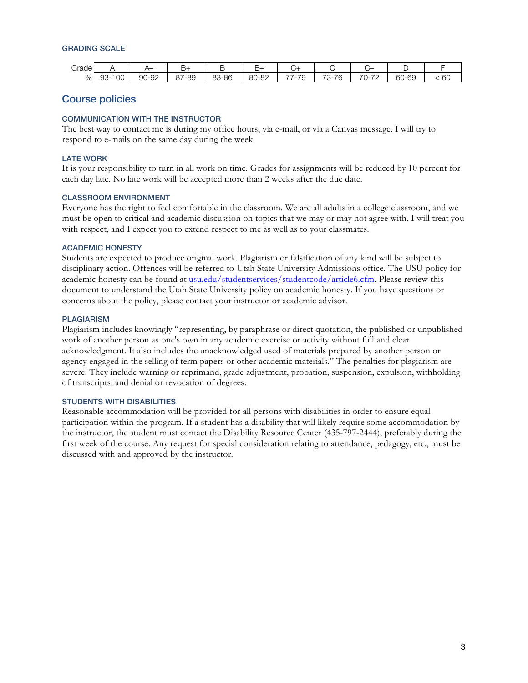#### GRADING SCALE

| ⌒<br>Grade |                |                      | ے                           |                  | ⊸–                          | ີ                                     |                                                                        |                                                                                |                 |    |
|------------|----------------|----------------------|-----------------------------|------------------|-----------------------------|---------------------------------------|------------------------------------------------------------------------|--------------------------------------------------------------------------------|-----------------|----|
| %          | 00<br>93<br>۰. | $\cap$<br>90<br>∟ש−י | '-89<br>O <sub>7</sub><br>◡ | 3-86<br>oΩ<br>ပပ | )-82<br>$\circ$<br>∽<br>-JU | --<br>$\overline{\phantom{a}}$<br>- 1 | $\overline{\phantom{0}}$<br>$\overline{\phantom{0}}$<br>הז<br>۰.<br>ъ. | $\overline{\phantom{0}}$<br>$\overline{\phantom{0}}$<br>- 1 -<br>ັ<br><u>_</u> | $60 - t$<br>-69 | 60 |

# Course policies

### COMMUNICATION WITH THE INSTRUCTOR

The best way to contact me is during my office hours, via e-mail, or via a Canvas message. I will try to respond to e-mails on the same day during the week.

#### LATE WORK

It is your responsibility to turn in all work on time. Grades for assignments will be reduced by 10 percent for each day late. No late work will be accepted more than 2 weeks after the due date.

#### CLASSROOM ENVIRONMENT

Everyone has the right to feel comfortable in the classroom. We are all adults in a college classroom, and we must be open to critical and academic discussion on topics that we may or may not agree with. I will treat you with respect, and I expect you to extend respect to me as well as to your classmates.

#### ACADEMIC HONESTY

Students are expected to produce original work. Plagiarism or falsification of any kind will be subject to disciplinary action. Offences will be referred to Utah State University Admissions office. The USU policy for academic honesty can be found at usu.edu/studentservices/studentcode/article6.cfm. Please review this document to understand the Utah State University policy on academic honesty. If you have questions or concerns about the policy, please contact your instructor or academic advisor.

#### **PLAGIARISM**

Plagiarism includes knowingly "representing, by paraphrase or direct quotation, the published or unpublished work of another person as one's own in any academic exercise or activity without full and clear acknowledgment. It also includes the unacknowledged used of materials prepared by another person or agency engaged in the selling of term papers or other academic materials." The penalties for plagiarism are severe. They include warning or reprimand, grade adjustment, probation, suspension, expulsion, withholding of transcripts, and denial or revocation of degrees.

#### STUDENTS WITH DISABILITIES

Reasonable accommodation will be provided for all persons with disabilities in order to ensure equal participation within the program. If a student has a disability that will likely require some accommodation by the instructor, the student must contact the Disability Resource Center (435-797-2444), preferably during the first week of the course. Any request for special consideration relating to attendance, pedagogy, etc., must be discussed with and approved by the instructor.